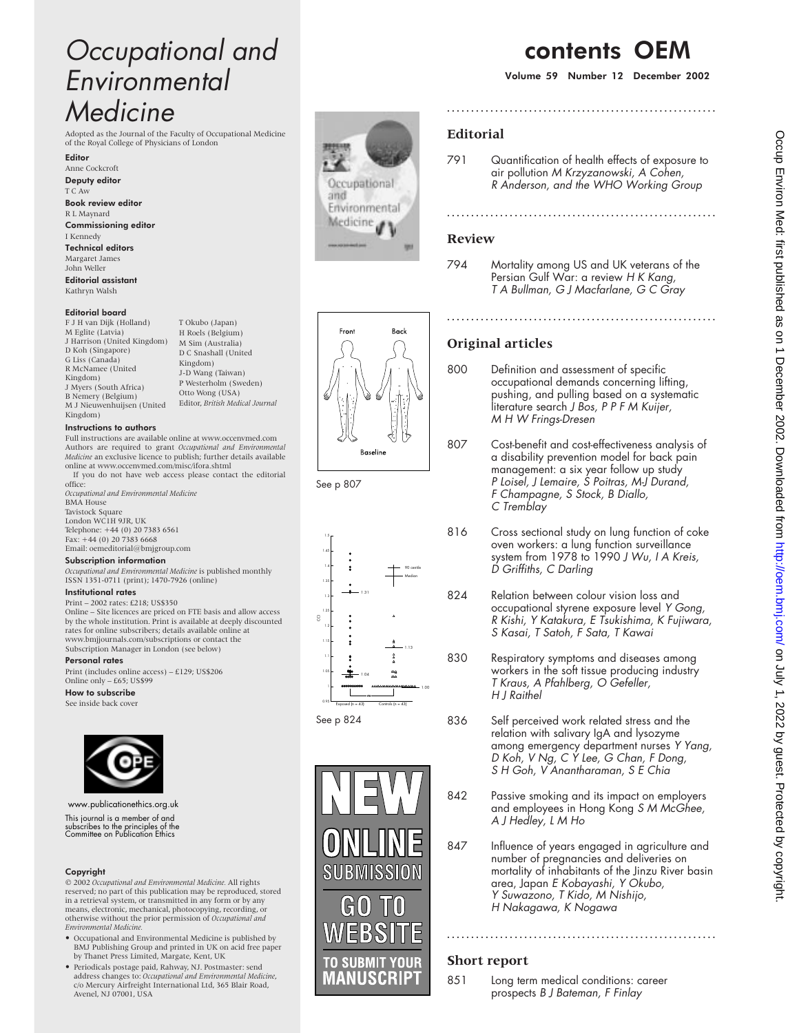# Occupational and Environmental **Medicine**

Adopted as the Journal of the Faculty of Occupational Medicine of the Royal College of Physicians of London

Editor

Anne Cockcroft Deputy editor T C Aw Book review editor R L Maynard Commissioning editor I Kennedy Technical editors Margaret James John Weller Editorial assistant

Kathryn Walsh

#### Editorial board

F J H van Dijk (Holland) M Eglite (Latvia) J Harrison (United Kingdom) D Koh (Singapore) G Liss (Canada) R McNamee (United Kingdom) J Myers (South Africa) B Nemery (Belgium) M J Nieuwenhuijsen (United Kingdom)

#### Instructions to authors

Full instructions are available online at www.occenvmed.com Authors are required to grant *Occupational and Environmental Medicine* an exclusive licence to publish; further details available online at www.occenvmed.com/misc/ifora.shtml If you do not have web access please contact the editorial

T Okubo (Japan) H Roels (Belgium) M Sim (Australia) D C Snashall (United Kingdom) J-D Wang (Taiwan) P Westerholm (Sweden) Otto Wong (USA) Editor, *British Medical Journal*

office: *Occupational and Environmental Medicine* BMA House Tavistock Square London WC1H 9JR, UK Telephone: +44 (0) 20 7383 6561 Fax: +44 (0) 20 7383 6668 Email: oemeditorial@bmjgroup.com

#### Subscription information

*Occupational and Environmental Medicine* is published monthly ISSN 1351-0711 (print); 1470-7926 (online)

### Institutional rates

Print – 2002 rates: £218; US\$350 Online – Site licences are priced on FTE basis and allow access by the whole institution. Print is available at deeply discounted rates for online subscribers; details available online at www.bmjjournals.com/subscriptions or contact the Subscription Manager in London (see below)

#### Personal rates

Print (includes online access) – £129; US\$206 Online only – £65; US\$99

#### How to subscribe

See inside back cover



#### www.publicationethics.org.uk

This journal is a member of and subscribes to the principles of the subscribes to the principles of the<br>Committee on Publication Ethics

#### Copyright

© 2002 *Occupational and Environmental Medicine.* All rights reserved; no part of this publication may be reproduced, stored in a retrieval system, or transmitted in any form or by any means, electronic, mechanical, photocopying, recording, or otherwise without the prior permission of *Occupational and Environmental Medicine.*

- Occupational and Environmental Medicine is published by BMJ Publishing Group and printed in UK on acid free paper by Thanet Press Limited, Margate, Kent, UK
- Periodicals postage paid, Rahway, NJ. Postmaster: send address changes to: *Occupational and Environmental Medicine*, c/o Mercury Airfreight International Ltd, 365 Blair Road, Avenel, NJ 07001, USA



# contents OEM

Volume 59 Number 12 December 2002

## **Editorial**

791 Quantification of health effects of exposure to air pollution M Krzyzanowski, A Cohen, <sup>R</sup> Anderson, and the WHO Working Group

**........................................................**

**........................................................**

### **Review**

794 Mortality among US and UK veterans of the Persian Gulf War: a review H K Kang, <sup>T</sup> A Bullman, G J Macfarlane, G C Gray

## **Original articles**

800 Definition and assessment of specific occupational demands concerning lifting, pushing, and pulling based on a systematic literature search J Bos, P P F M Kuijer, M H W Frings-Dresen

807 Cost-benefit and cost-effectiveness analysis of a disability prevention model for back pain management: a six year follow up study

**........................................................**



Back

See p 807

Front





- P Loisel, J Lemaire, S Poitras, M-J Durand, <sup>F</sup> Champagne, S Stock, <sup>B</sup> Diallo, C Tremblay 816 Cross sectional study on lung function of coke
	- oven workers: a lung function surveillance system from 1978 to 1990 J Wu, I A Kreis, <sup>D</sup> Griffiths, C Darling
- 824 Relation between colour vision loss and occupational styrene exposure level Y Gong, <sup>R</sup> Kishi, <sup>Y</sup> Katakura, <sup>E</sup> Tsukishima, <sup>K</sup> Fujiwara, S Kasai, T Satoh, F Sata, T Kawai
- 830 Respiratory symptoms and diseases among workers in the soft tissue producing industry <sup>T</sup> Kraus, A Pfahlberg, O Gefeller, H J Raithel
- 836 Self perceived work related stress and the relation with salivary IgA and lysozyme among emergency department nurses Y Yang, <sup>D</sup> Koh, V Ng, C <sup>Y</sup> Lee, G Chan, <sup>F</sup> Dong, S H Goh, V Anantharaman, S E Chia
- 842 Passive smoking and its impact on employers and employees in Hong Kong S M McGhee, A J Hedley, <sup>L</sup> M Ho
- 847 Influence of years engaged in agriculture and number of pregnancies and deliveries on mortality of inhabitants of the Jinzu River basin area, Japan <sup>E</sup> Kobayashi, <sup>Y</sup> Okubo, <sup>Y</sup> Suwazono, <sup>T</sup> Kido, M Nishijo, <sup>H</sup> Nakagawa, <sup>K</sup> Nogawa

**........................................................**

## **Short report**

851 Long term medical conditions: career prospects <sup>B</sup> J Bateman, <sup>F</sup> Finlay